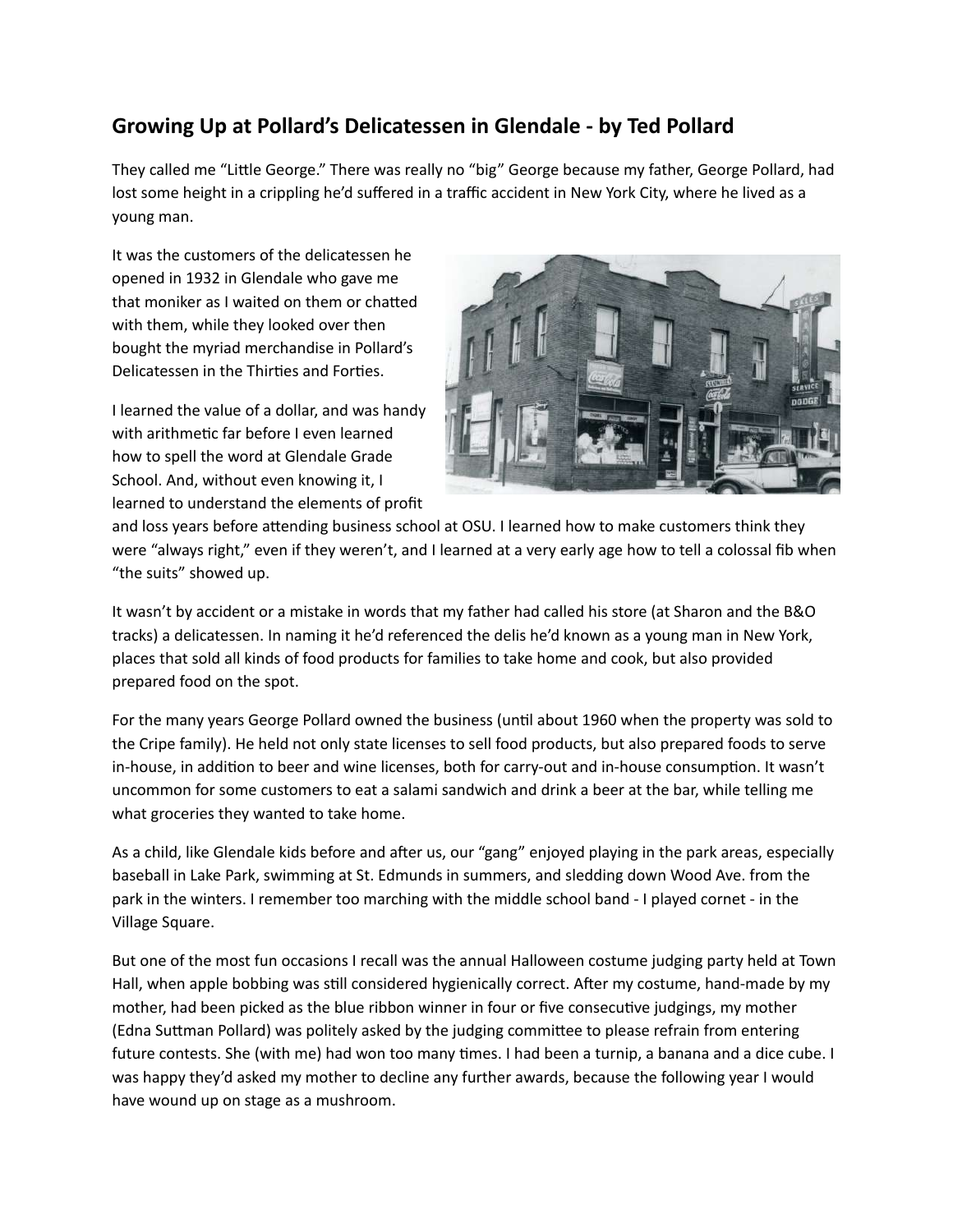# Growing Up at Pollard's Delicatessen in Glendale - by Ted Pollard

They called me "Little George." There was really no "big" George because my father, George Pollard, had lost some height in a crippling he'd suffered in a traffic accident in New York City, where he lived as a young man.

It was the customers of the delicatessen he opened in 1932 in Glendale who gave me that moniker as I waited on them or chatted with them, while they looked over then bought the myriad merchandise in Pollard's Delicatessen in the Thirties and Forties.

I learned the value of a dollar, and was handy with arithmetic far before I even learned how to spell the word at Glendale Grade School. And, without even knowing it, I learned to understand the elements of profit



and loss years before attending business school at OSU. I learned how to make customers think they were "always right," even if they weren't, and I learned at a very early age how to tell a colossal fib when "the suits" showed up.

It wasn't by accident or a mistake in words that my father had called his store (at Sharon and the B&O tracks) a delicatessen. In naming it he'd referenced the delis he'd known as a young man in New York, places that sold all kinds of food products for families to take home and cook, but also provided prepared food on the spot.

For the many years George Pollard owned the business (until about 1960 when the property was sold to the Cripe family). He held not only state licenses to sell food products, but also prepared foods to serve in-house, in addition to beer and wine licenses, both for carry-out and in-house consumption. It wasn't uncommon for some customers to eat a salami sandwich and drink a beer at the bar, while telling me what groceries they wanted to take home.

As a child, like Glendale kids before and after us, our "gang" enjoyed playing in the park areas, especially baseball in Lake Park, swimming at St. Edmunds in summers, and sledding down Wood Ave. from the park in the winters. I remember too marching with the middle school band - I played cornet - in the Village Square.

But one of the most fun occasions I recall was the annual Halloween costume judging party held at Town Hall, when apple bobbing was still considered hygienically correct. After my costume, hand-made by my mother, had been picked as the blue ribbon winner in four or five consecutive judgings, my mother (Edna Suttman Pollard) was politely asked by the judging committee to please refrain from entering future contests. She (with me) had won too many times. I had been a turnip, a banana and a dice cube. I was happy they'd asked my mother to decline any further awards, because the following year I would have wound up on stage as a mushroom.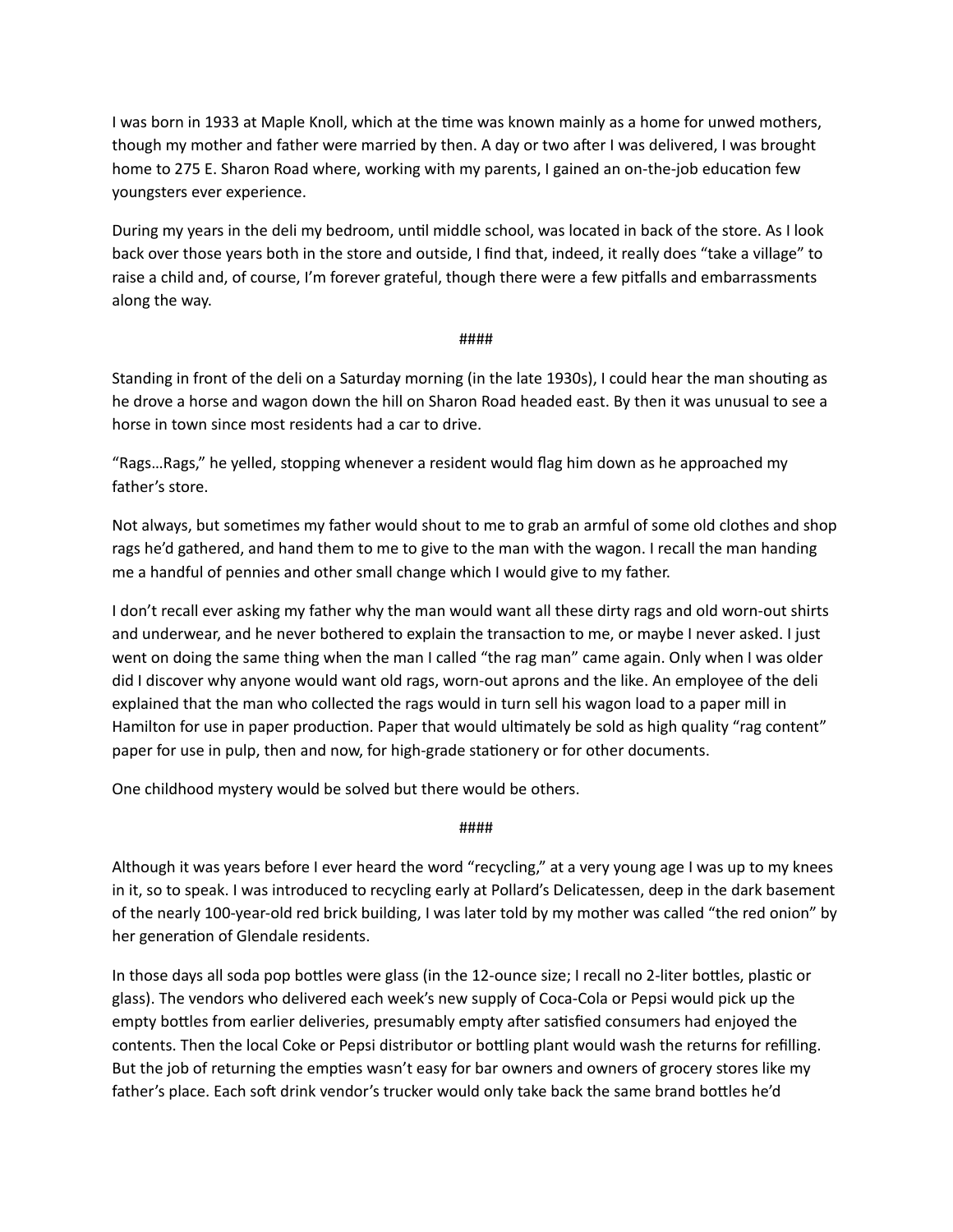I was born in 1933 at Maple Knoll, which at the time was known mainly as a home for unwed mothers, though my mother and father were married by then. A day or two after I was delivered, I was brought home to 275 E. Sharon Road where, working with my parents, I gained an on-the-job education few youngsters ever experience.

During my years in the deli my bedroom, until middle school, was located in back of the store. As I look back over those years both in the store and outside, I find that, indeed, it really does "take a village" to raise a child and, of course, I'm forever grateful, though there were a few pitfalls and embarrassments along the way.

# ####

Standing in front of the deli on a Saturday morning (in the late 1930s), I could hear the man shouting as he drove a horse and wagon down the hill on Sharon Road headed east. By then it was unusual to see a horse in town since most residents had a car to drive.

"Rags...Rags," he yelled, stopping whenever a resident would flag him down as he approached my father's store.

Not always, but sometimes my father would shout to me to grab an armful of some old clothes and shop rags he'd gathered, and hand them to me to give to the man with the wagon. I recall the man handing me a handful of pennies and other small change which I would give to my father.

I don't recall ever asking my father why the man would want all these dirty rags and old worn-out shirts and underwear, and he never bothered to explain the transaction to me, or maybe I never asked. I just went on doing the same thing when the man I called "the rag man" came again. Only when I was older did I discover why anyone would want old rags, worn-out aprons and the like. An employee of the deli explained that the man who collected the rags would in turn sell his wagon load to a paper mill in Hamilton for use in paper production. Paper that would ultimately be sold as high quality "rag content" paper for use in pulp, then and now, for high-grade stationery or for other documents.

One childhood mystery would be solved but there would be others.

# ####

Although it was years before I ever heard the word "recycling," at a very young age I was up to my knees in it, so to speak. I was introduced to recycling early at Pollard's Delicatessen, deep in the dark basement of the nearly 100-year-old red brick building, I was later told by my mother was called "the red onion" by her generation of Glendale residents.

In those days all soda pop bottles were glass (in the 12-ounce size; I recall no 2-liter bottles, plastic or glass). The vendors who delivered each week's new supply of Coca-Cola or Pepsi would pick up the empty bottles from earlier deliveries, presumably empty after satisfied consumers had enjoyed the contents. Then the local Coke or Pepsi distributor or bottling plant would wash the returns for refilling. But the job of returning the empties wasn't easy for bar owners and owners of grocery stores like my father's place. Each soft drink vendor's trucker would only take back the same brand bottles he'd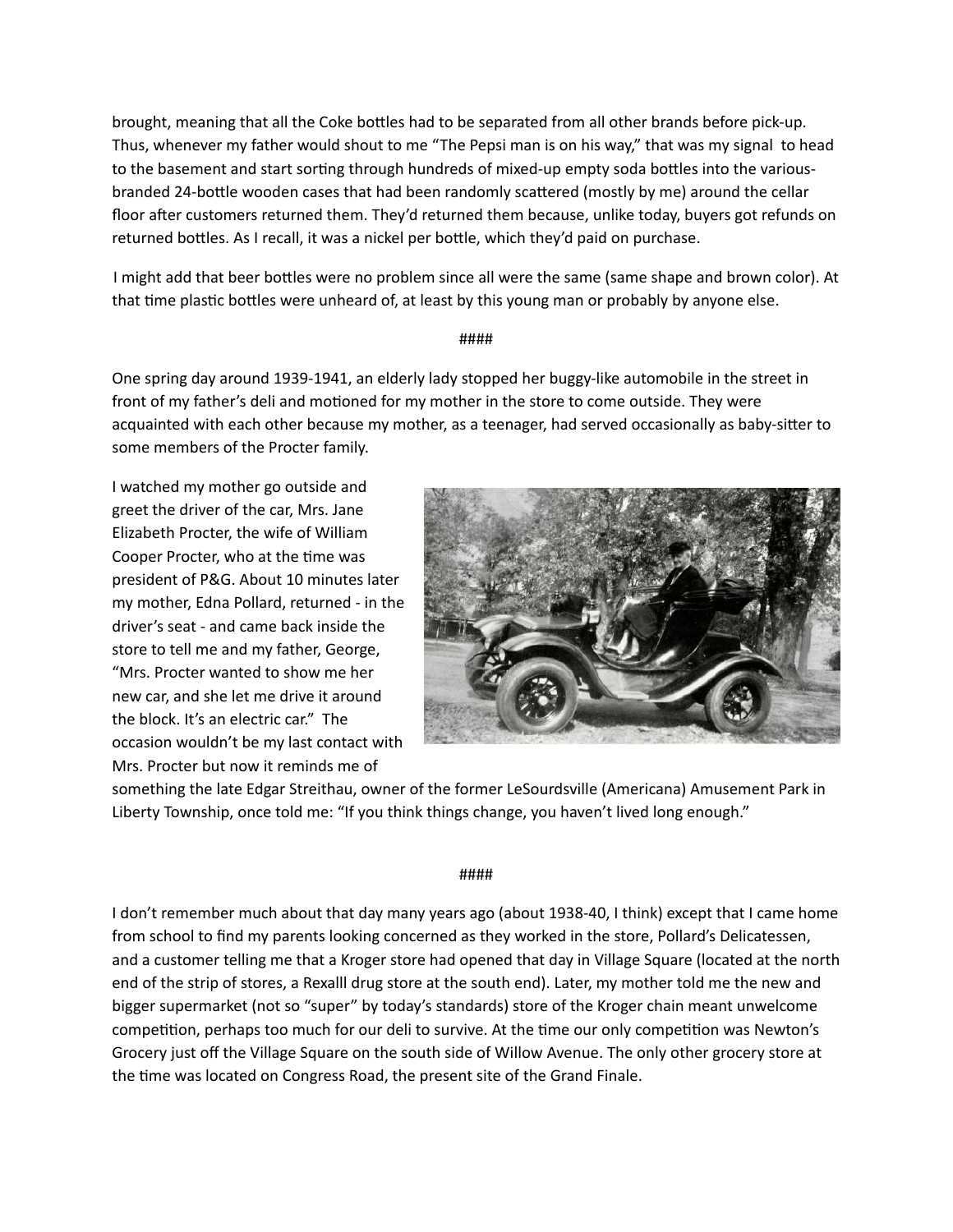brought, meaning that all the Coke bottles had to be separated from all other brands before pick-up. Thus, whenever my father would shout to me "The Pepsi man is on his way," that was my signal to head to the basement and start sorting through hundreds of mixed-up empty soda bottles into the variousbranded 24-bottle wooden cases that had been randomly scattered (mostly by me) around the cellar floor after customers returned them. They'd returned them because, unlike today, buyers got refunds on returned bottles. As I recall, it was a nickel per bottle, which they'd paid on purchase.

I might add that beer bottles were no problem since all were the same (same shape and brown color). At that time plastic bottles were unheard of, at least by this young man or probably by anyone else.

#### ####

One spring day around 1939-1941, an elderly lady stopped her buggy-like automobile in the street in front of my father's deli and motioned for my mother in the store to come outside. They were acquainted with each other because my mother, as a teenager, had served occasionally as baby-sitter to some members of the Procter family.

I watched my mother go outside and greet the driver of the car, Mrs. Jane Elizabeth Procter, the wife of William Cooper Procter, who at the time was president of P&G. About 10 minutes later my mother, Edna Pollard, returned - in the driver's seat - and came back inside the store to tell me and my father, George, "Mrs. Procter wanted to show me her new car, and she let me drive it around the block. It's an electric car." The occasion wouldn't be my last contact with Mrs. Procter but now it reminds me of



something the late Edgar Streithau, owner of the former LeSourdsville (Americana) Amusement Park in Liberty Township, once told me: "If you think things change, you haven't lived long enough."

#### ####

I don't remember much about that day many years ago (about 1938-40, I think) except that I came home from school to find my parents looking concerned as they worked in the store, Pollard's Delicatessen, and a customer telling me that a Kroger store had opened that day in Village Square (located at the north end of the strip of stores, a Rexalll drug store at the south end). Later, my mother told me the new and bigger supermarket (not so "super" by today's standards) store of the Kroger chain meant unwelcome competition, perhaps too much for our deli to survive. At the time our only competition was Newton's Grocery just off the Village Square on the south side of Willow Avenue. The only other grocery store at the time was located on Congress Road, the present site of the Grand Finale.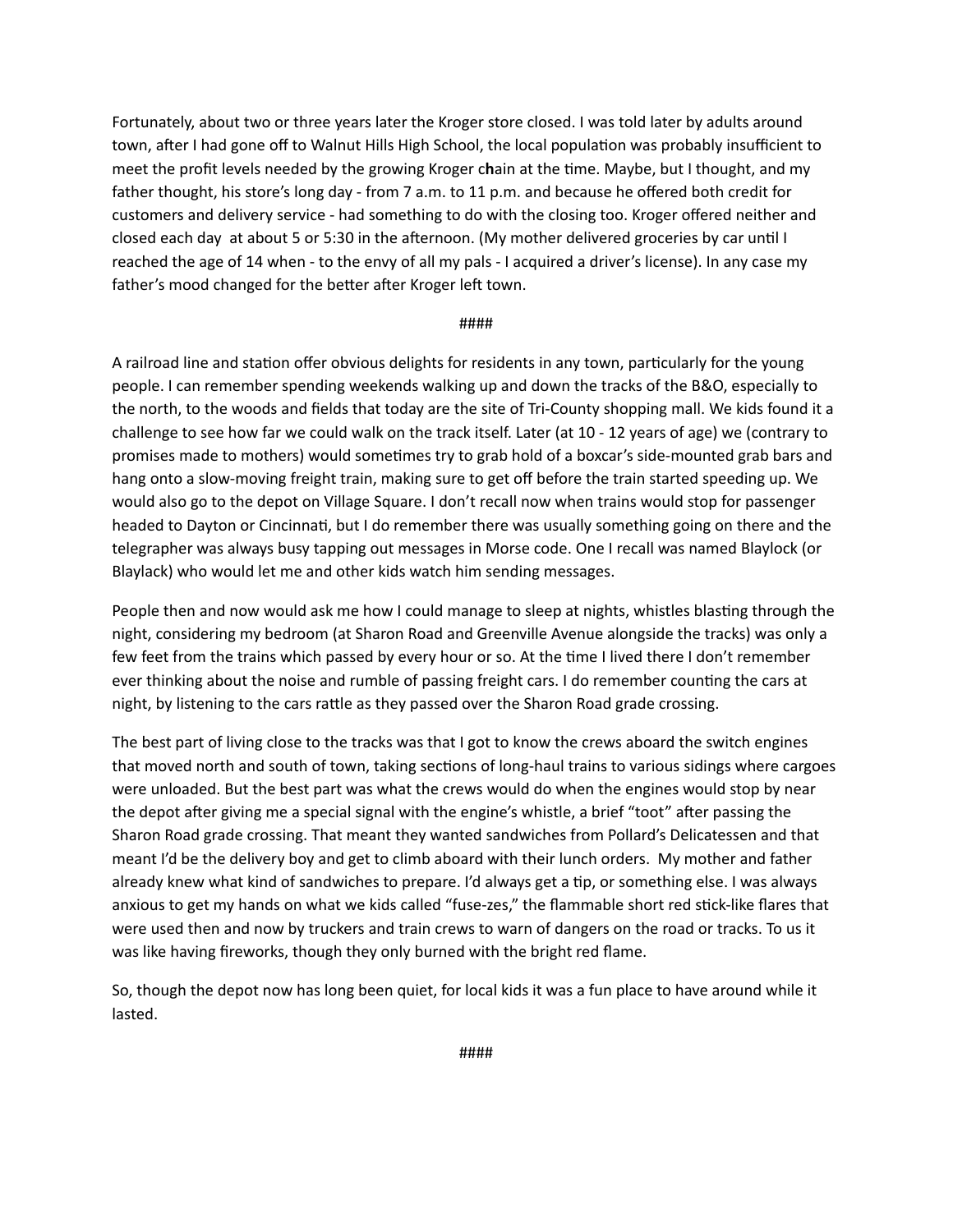Fortunately, about two or three years later the Kroger store closed. I was told later by adults around town, after I had gone off to Walnut Hills High School, the local population was probably insufficient to meet the profit levels needed by the growing Kroger chain at the time. Maybe, but I thought, and my father thought, his store's long day - from 7 a.m. to 11 p.m. and because he offered both credit for customers and delivery service - had something to do with the closing too. Kroger offered neither and closed each day at about 5 or 5:30 in the afternoon. (My mother delivered groceries by car until I reached the age of 14 when - to the envy of all my pals - I acquired a driver's license). In any case my father's mood changed for the better after Kroger left town.

#### ####

A railroad line and station offer obvious delights for residents in any town, particularly for the young people. I can remember spending weekends walking up and down the tracks of the B&O, especially to the north, to the woods and fields that today are the site of Tri-County shopping mall. We kids found it a challenge to see how far we could walk on the track itself. Later (at 10 - 12 years of age) we (contrary to promises made to mothers) would sometimes try to grab hold of a boxcar's side-mounted grab bars and hang onto a slow-moving freight train, making sure to get off before the train started speeding up. We would also go to the depot on Village Square. I don't recall now when trains would stop for passenger headed to Dayton or Cincinnati, but I do remember there was usually something going on there and the telegrapher was always busy tapping out messages in Morse code. One I recall was named Blaylock (or Blaylack) who would let me and other kids watch him sending messages.

People then and now would ask me how I could manage to sleep at nights, whistles blasting through the night, considering my bedroom (at Sharon Road and Greenville Avenue alongside the tracks) was only a few feet from the trains which passed by every hour or so. At the time I lived there I don't remember ever thinking about the noise and rumble of passing freight cars. I do remember counting the cars at night, by listening to the cars rattle as they passed over the Sharon Road grade crossing.

The best part of living close to the tracks was that I got to know the crews aboard the switch engines that moved north and south of town, taking sections of long-haul trains to various sidings where cargoes were unloaded. But the best part was what the crews would do when the engines would stop by near the depot after giving me a special signal with the engine's whistle, a brief "toot" after passing the Sharon Road grade crossing. That meant they wanted sandwiches from Pollard's Delicatessen and that meant I'd be the delivery boy and get to climb aboard with their lunch orders. My mother and father already knew what kind of sandwiches to prepare. I'd always get a tip, or something else. I was always anxious to get my hands on what we kids called "fuse-zes," the flammable short red stick-like flares that were used then and now by truckers and train crews to warn of dangers on the road or tracks. To us it was like having fireworks, though they only burned with the bright red flame.

So, though the depot now has long been quiet, for local kids it was a fun place to have around while it lasted.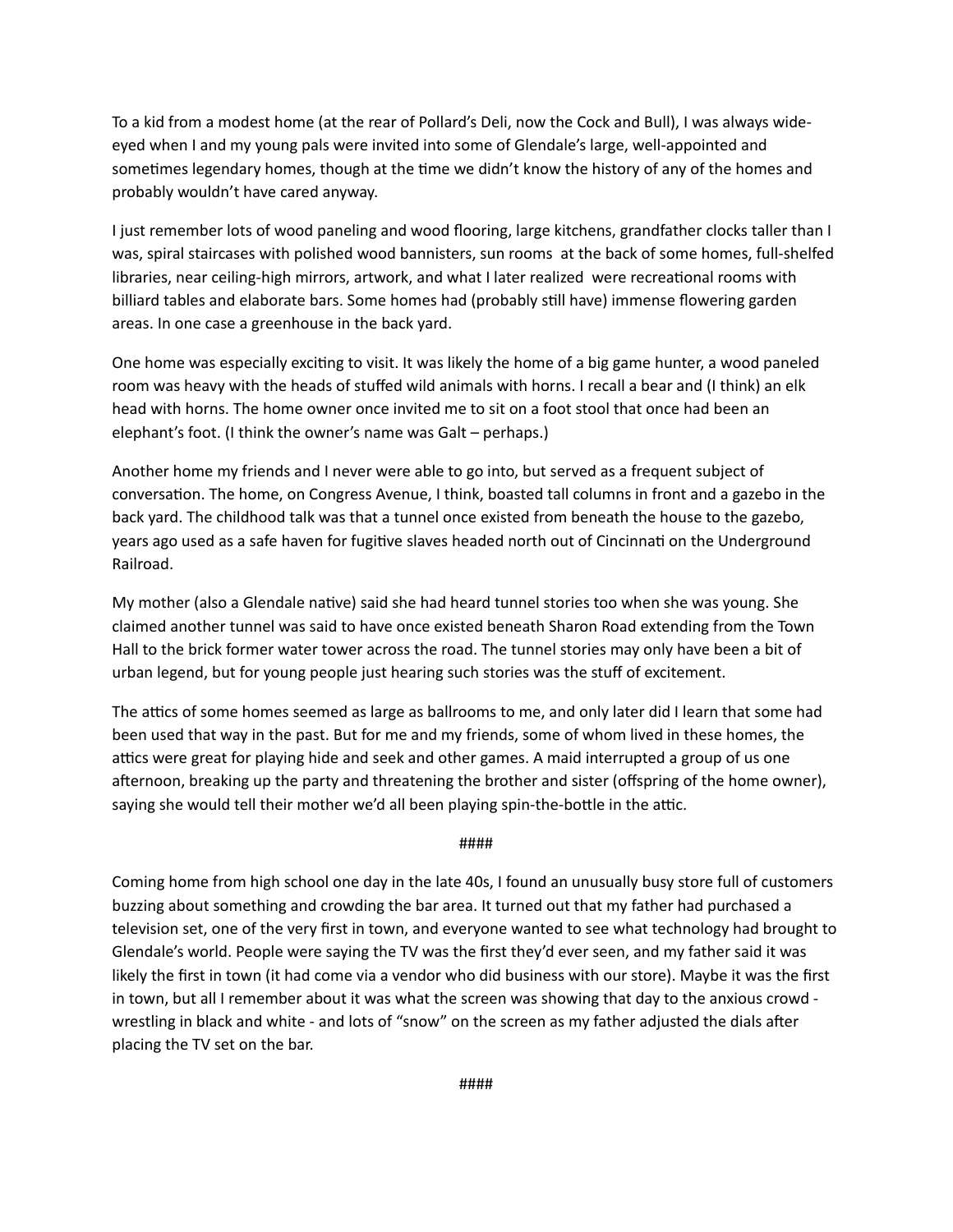To a kid from a modest home (at the rear of Pollard's Deli, now the Cock and Bull), I was always wideeyed when I and my young pals were invited into some of Glendale's large, well-appointed and sometimes legendary homes, though at the time we didn't know the history of any of the homes and probably wouldn't have cared anyway.

I just remember lots of wood paneling and wood flooring, large kitchens, grandfather clocks taller than I was, spiral staircases with polished wood bannisters, sun rooms at the back of some homes, full-shelfed libraries, near ceiling-high mirrors, artwork, and what I later realized were recreational rooms with billiard tables and elaborate bars. Some homes had (probably still have) immense flowering garden areas. In one case a greenhouse in the back yard.

One home was especially exciting to visit. It was likely the home of a big game hunter, a wood paneled room was heavy with the heads of stuffed wild animals with horns. I recall a bear and (I think) an elk head with horns. The home owner once invited me to sit on a foot stool that once had been an elephant's foot. (I think the owner's name was Galt – perhaps.)

Another home my friends and I never were able to go into, but served as a frequent subject of conversation. The home, on Congress Avenue, I think, boasted tall columns in front and a gazebo in the back yard. The childhood talk was that a tunnel once existed from beneath the house to the gazebo, years ago used as a safe haven for fugitive slaves headed north out of Cincinnati on the Underground Railroad.

My mother (also a Glendale native) said she had heard tunnel stories too when she was young. She claimed another tunnel was said to have once existed beneath Sharon Road extending from the Town Hall to the brick former water tower across the road. The tunnel stories may only have been a bit of urban legend, but for young people just hearing such stories was the stuff of excitement.

The attics of some homes seemed as large as ballrooms to me, and only later did I learn that some had been used that way in the past. But for me and my friends, some of whom lived in these homes, the attics were great for playing hide and seek and other games. A maid interrupted a group of us one afternoon, breaking up the party and threatening the brother and sister (offspring of the home owner), saying she would tell their mother we'd all been playing spin-the-bottle in the attic.

#### ####

Coming home from high school one day in the late 40s, I found an unusually busy store full of customers buzzing about something and crowding the bar area. It turned out that my father had purchased a television set, one of the very first in town, and everyone wanted to see what technology had brought to Glendale's world. People were saying the TV was the first they'd ever seen, and my father said it was likely the first in town (it had come via a vendor who did business with our store). Maybe it was the first in town, but all I remember about it was what the screen was showing that day to the anxious crowd wrestling in black and white - and lots of "snow" on the screen as my father adjusted the dials after placing the TV set on the bar.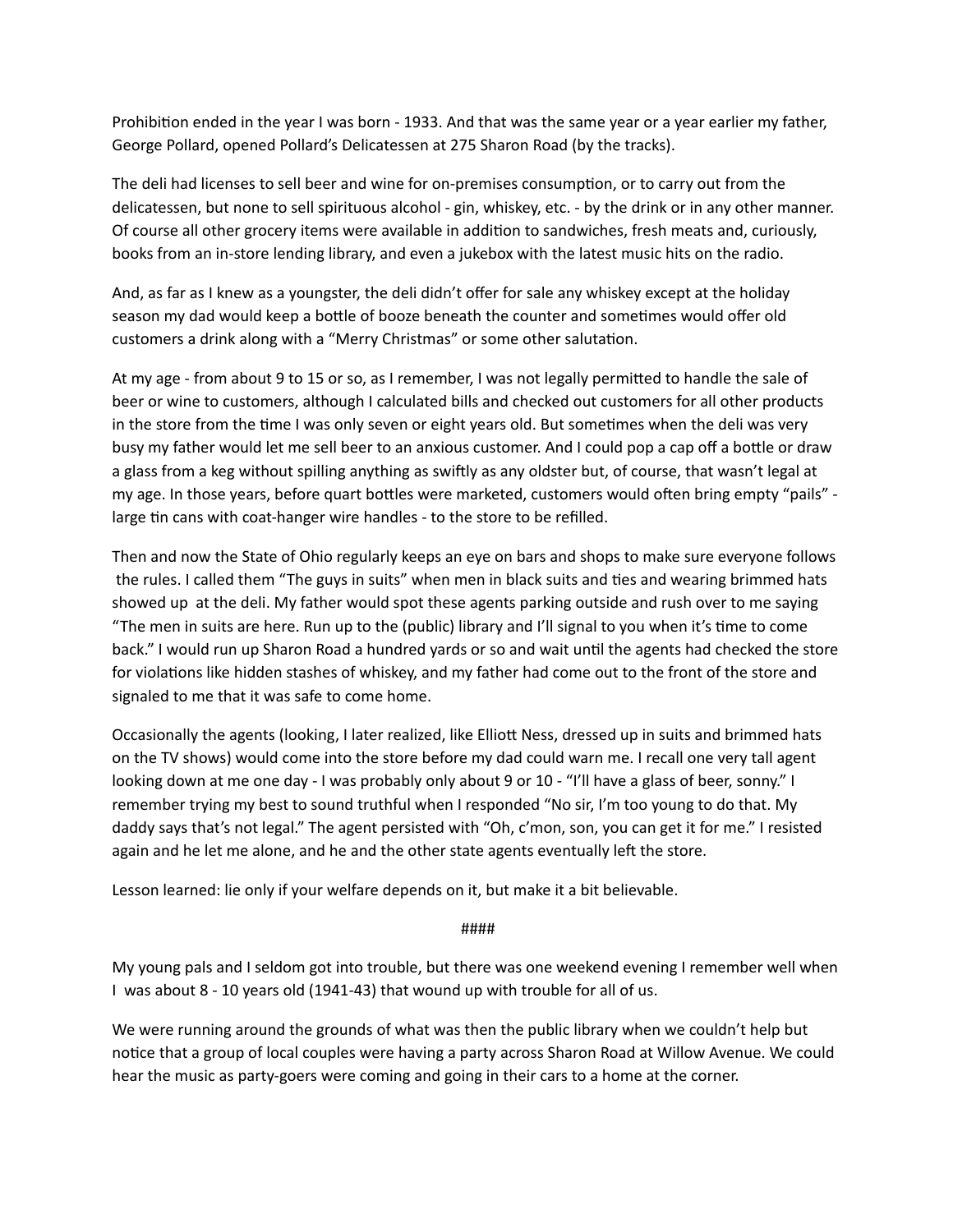Prohibition ended in the year I was born - 1933. And that was the same year or a year earlier my father, George Pollard, opened Pollard's Delicatessen at 275 Sharon Road (by the tracks).

The deli had licenses to sell beer and wine for on-premises consumption, or to carry out from the delicatessen, but none to sell spirituous alcohol - gin, whiskey, etc. - by the drink or in any other manner. Of course all other grocery items were available in addition to sandwiches, fresh meats and, curiously, books from an in-store lending library, and even a jukebox with the latest music hits on the radio.

And, as far as I knew as a youngster, the deli didn't offer for sale any whiskey except at the holiday season my dad would keep a bottle of booze beneath the counter and sometimes would offer old customers a drink along with a "Merry Christmas" or some other salutation.

At my age - from about 9 to 15 or so, as I remember, I was not legally permitted to handle the sale of beer or wine to customers, although I calculated bills and checked out customers for all other products in the store from the time I was only seven or eight years old. But sometimes when the deli was very busy my father would let me sell beer to an anxious customer. And I could pop a cap off a bottle or draw a glass from a keg without spilling anything as swiftly as any oldster but, of course, that wasn't legal at my age. In those years, before quart bottles were marketed, customers would often bring empty "pails" large tin cans with coat-hanger wire handles - to the store to be refilled.

Then and now the State of Ohio regularly keeps an eye on bars and shops to make sure everyone follows the rules. I called them "The guys in suits" when men in black suits and ties and wearing brimmed hats showed up at the deli. My father would spot these agents parking outside and rush over to me saying "The men in suits are here. Run up to the (public) library and I'll signal to you when it's time to come back." I would run up Sharon Road a hundred yards or so and wait until the agents had checked the store for violations like hidden stashes of whiskey, and my father had come out to the front of the store and signaled to me that it was safe to come home.

Occasionally the agents (looking, I later realized, like Elliott Ness, dressed up in suits and brimmed hats on the TV shows) would come into the store before my dad could warn me. I recall one very tall agent looking down at me one day - I was probably only about 9 or 10 - "I'll have a glass of beer, sonny." I remember trying my best to sound truthful when I responded "No sir, I'm too young to do that. My daddy says that's not legal." The agent persisted with "Oh, c'mon, son, you can get it for me." I resisted again and he let me alone, and he and the other state agents eventually left the store.

Lesson learned: lie only if your welfare depends on it, but make it a bit believable.

 ####

My young pals and I seldom got into trouble, but there was one weekend evening I remember well when I was about 8 - 10 years old (1941-43) that wound up with trouble for all of us.

We were running around the grounds of what was then the public library when we couldn't help but notice that a group of local couples were having a party across Sharon Road at Willow Avenue. We could hear the music as party-goers were coming and going in their cars to a home at the corner.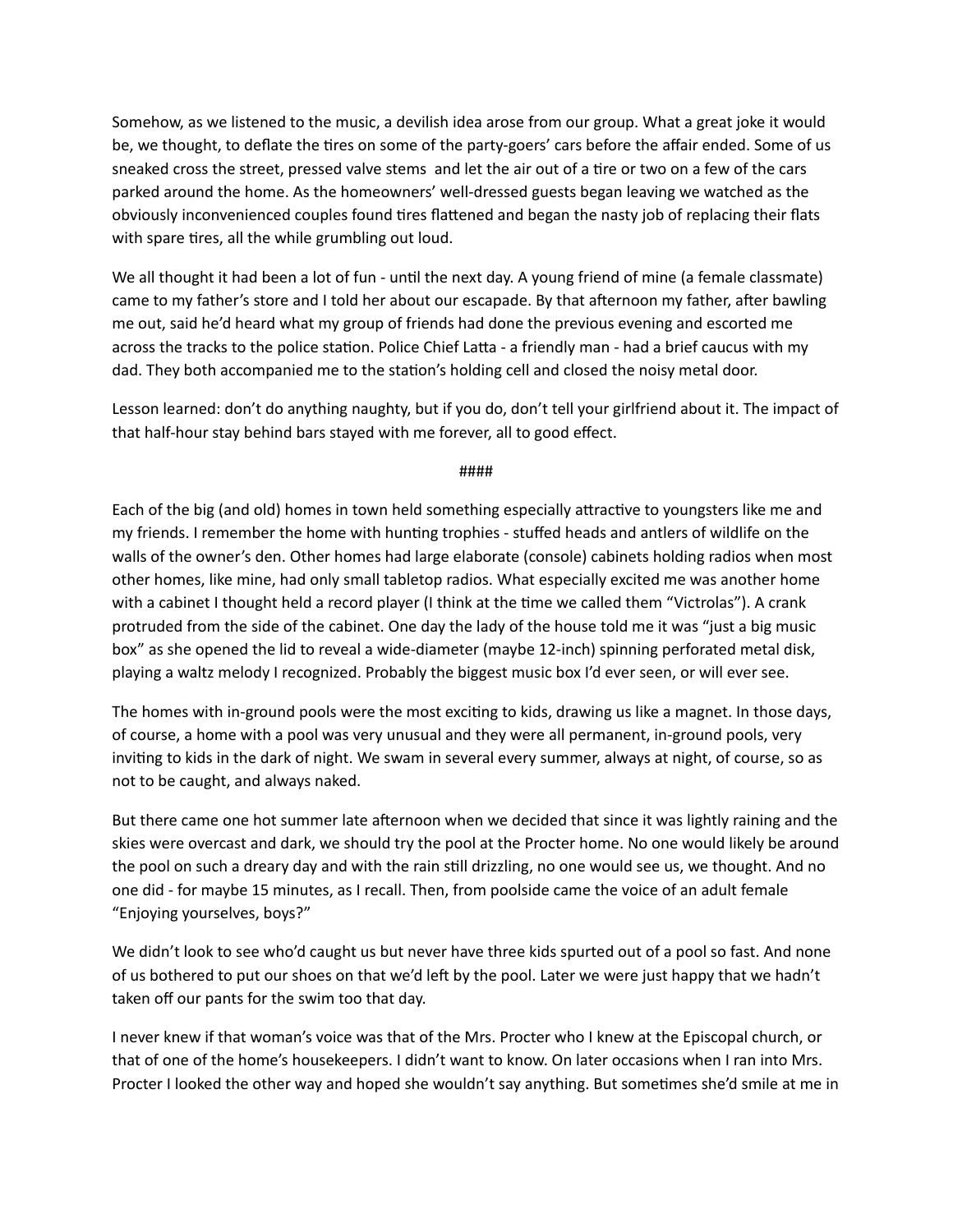Somehow, as we listened to the music, a devilish idea arose from our group. What a great joke it would be, we thought, to deflate the tires on some of the party-goers' cars before the affair ended. Some of us sneaked cross the street, pressed valve stems and let the air out of a tire or two on a few of the cars parked around the home. As the homeowners' well-dressed guests began leaving we watched as the obviously inconvenienced couples found tires flattened and began the nasty job of replacing their flats with spare tires, all the while grumbling out loud.

We all thought it had been a lot of fun - until the next day. A young friend of mine (a female classmate) came to my father's store and I told her about our escapade. By that afternoon my father, after bawling me out, said he'd heard what my group of friends had done the previous evening and escorted me across the tracks to the police station. Police Chief Latta - a friendly man - had a brief caucus with my dad. They both accompanied me to the station's holding cell and closed the noisy metal door.

Lesson learned: don't do anything naughty, but if you do, don't tell your girlfriend about it. The impact of that half-hour stay behind bars stayed with me forever, all to good effect.

####

Each of the big (and old) homes in town held something especially attractive to youngsters like me and my friends. I remember the home with hunting trophies - stuffed heads and antlers of wildlife on the walls of the owner's den. Other homes had large elaborate (console) cabinets holding radios when most other homes, like mine, had only small tabletop radios. What especially excited me was another home with a cabinet I thought held a record player (I think at the time we called them "Victrolas"). A crank protruded from the side of the cabinet. One day the lady of the house told me it was "just a big music box" as she opened the lid to reveal a wide-diameter (maybe 12-inch) spinning perforated metal disk, playing a waltz melody I recognized. Probably the biggest music box I'd ever seen, or will ever see.

The homes with in-ground pools were the most exciting to kids, drawing us like a magnet. In those days, of course, a home with a pool was very unusual and they were all permanent, in-ground pools, very inviting to kids in the dark of night. We swam in several every summer, always at night, of course, so as not to be caught, and always naked.

But there came one hot summer late afternoon when we decided that since it was lightly raining and the skies were overcast and dark, we should try the pool at the Procter home. No one would likely be around the pool on such a dreary day and with the rain still drizzling, no one would see us, we thought. And no one did - for maybe 15 minutes, as I recall. Then, from poolside came the voice of an adult female "Enjoying yourselves, boys?"

We didn't look to see who'd caught us but never have three kids spurted out of a pool so fast. And none of us bothered to put our shoes on that we'd left by the pool. Later we were just happy that we hadn't taken off our pants for the swim too that day.

I never knew if that woman's voice was that of the Mrs. Procter who I knew at the Episcopal church, or that of one of the home's housekeepers. I didn't want to know. On later occasions when I ran into Mrs. Procter I looked the other way and hoped she wouldn't say anything. But sometimes she'd smile at me in